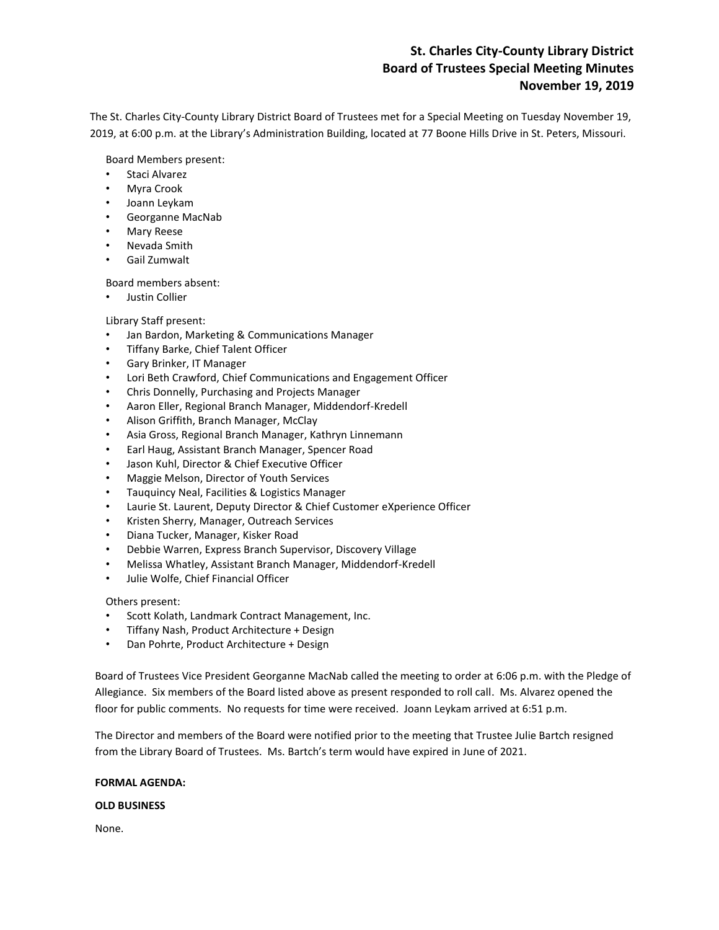# **St. Charles City-County Library District Board of Trustees Special Meeting Minutes November 19, 2019**

The St. Charles City-County Library District Board of Trustees met for a Special Meeting on Tuesday November 19, 2019, at 6:00 p.m. at the Library's Administration Building, located at 77 Boone Hills Drive in St. Peters, Missouri.

Board Members present:

- Staci Alvarez
- Myra Crook
- Joann Leykam
- Georganne MacNab
- Mary Reese
- Nevada Smith
- Gail Zumwalt

Board members absent:

• Justin Collier

Library Staff present:

- Jan Bardon, Marketing & Communications Manager
- Tiffany Barke, Chief Talent Officer
- Gary Brinker, IT Manager
- Lori Beth Crawford, Chief Communications and Engagement Officer
- Chris Donnelly, Purchasing and Projects Manager
- Aaron Eller, Regional Branch Manager, Middendorf-Kredell
- Alison Griffith, Branch Manager, McClay
- Asia Gross, Regional Branch Manager, Kathryn Linnemann
- Earl Haug, Assistant Branch Manager, Spencer Road
- Jason Kuhl, Director & Chief Executive Officer
- Maggie Melson, Director of Youth Services
- Tauquincy Neal, Facilities & Logistics Manager
- Laurie St. Laurent, Deputy Director & Chief Customer eXperience Officer
- Kristen Sherry, Manager, Outreach Services
- Diana Tucker, Manager, Kisker Road
- Debbie Warren, Express Branch Supervisor, Discovery Village
- Melissa Whatley, Assistant Branch Manager, Middendorf-Kredell
- Julie Wolfe, Chief Financial Officer

Others present:

- Scott Kolath, Landmark Contract Management, Inc.
- Tiffany Nash, Product Architecture + Design
- Dan Pohrte, Product Architecture + Design

Board of Trustees Vice President Georganne MacNab called the meeting to order at 6:06 p.m. with the Pledge of Allegiance. Six members of the Board listed above as present responded to roll call. Ms. Alvarez opened the floor for public comments. No requests for time were received. Joann Leykam arrived at 6:51 p.m.

The Director and members of the Board were notified prior to the meeting that Trustee Julie Bartch resigned from the Library Board of Trustees. Ms. Bartch's term would have expired in June of 2021.

# **FORMAL AGENDA:**

# **OLD BUSINESS**

None.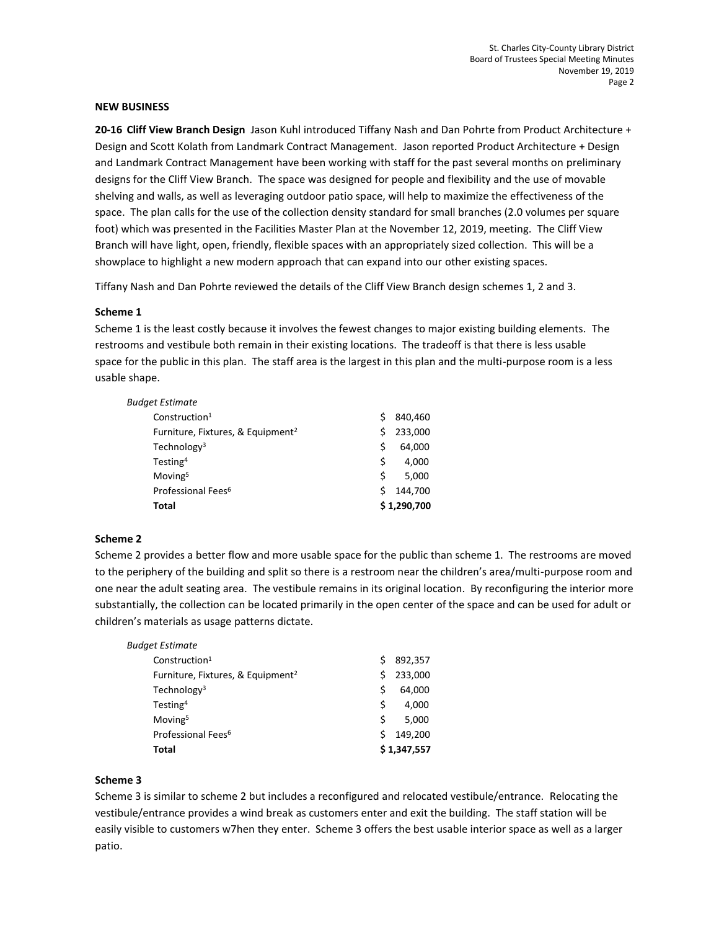#### **NEW BUSINESS**

**20-16 Cliff View Branch Design** Jason Kuhl introduced Tiffany Nash and Dan Pohrte from Product Architecture + Design and Scott Kolath from Landmark Contract Management. Jason reported Product Architecture + Design and Landmark Contract Management have been working with staff for the past several months on preliminary designs for the Cliff View Branch. The space was designed for people and flexibility and the use of movable shelving and walls, as well as leveraging outdoor patio space, will help to maximize the effectiveness of the space. The plan calls for the use of the collection density standard for small branches (2.0 volumes per square foot) which was presented in the Facilities Master Plan at the November 12, 2019, meeting. The Cliff View Branch will have light, open, friendly, flexible spaces with an appropriately sized collection. This will be a showplace to highlight a new modern approach that can expand into our other existing spaces.

Tiffany Nash and Dan Pohrte reviewed the details of the Cliff View Branch design schemes 1, 2 and 3.

## **Scheme 1**

Scheme 1 is the least costly because it involves the fewest changes to major existing building elements. The restrooms and vestibule both remain in their existing locations. The tradeoff is that there is less usable space for the public in this plan. The staff area is the largest in this plan and the multi-purpose room is a less usable shape.

| Total                                         |   | \$1,290,700 |  |
|-----------------------------------------------|---|-------------|--|
| Professional Fees <sup>6</sup>                |   | 144.700     |  |
| Moving <sup>5</sup>                           | Ś | 5.000       |  |
| Testing <sup>4</sup>                          | Ś | 4.000       |  |
| Technology <sup>3</sup>                       | Ś | 64,000      |  |
| Furniture, Fixtures, & Equipment <sup>2</sup> |   | 233,000     |  |
| Construction <sup>1</sup>                     |   | 840.460     |  |
| Budget Estimate                               |   |             |  |

## **Scheme 2**

Scheme 2 provides a better flow and more usable space for the public than scheme 1. The restrooms are moved to the periphery of the building and split so there is a restroom near the children's area/multi-purpose room and one near the adult seating area. The vestibule remains in its original location. By reconfiguring the interior more substantially, the collection can be located primarily in the open center of the space and can be used for adult or children's materials as usage patterns dictate.

| Budget Estimate                               |   |             |
|-----------------------------------------------|---|-------------|
| Construction <sup>1</sup>                     | S | 892,357     |
| Furniture, Fixtures, & Equipment <sup>2</sup> | S | 233,000     |
| Technology <sup>3</sup>                       | Ś | 64,000      |
| Testing <sup>4</sup>                          | Ś | 4.000       |
| Moving <sup>5</sup>                           | Ś | 5.000       |
| Professional Fees <sup>6</sup>                | Ś | 149.200     |
| Total                                         |   | \$1,347,557 |

## **Scheme 3**

Scheme 3 is similar to scheme 2 but includes a reconfigured and relocated vestibule/entrance. Relocating the vestibule/entrance provides a wind break as customers enter and exit the building. The staff station will be easily visible to customers w7hen they enter. Scheme 3 offers the best usable interior space as well as a larger patio.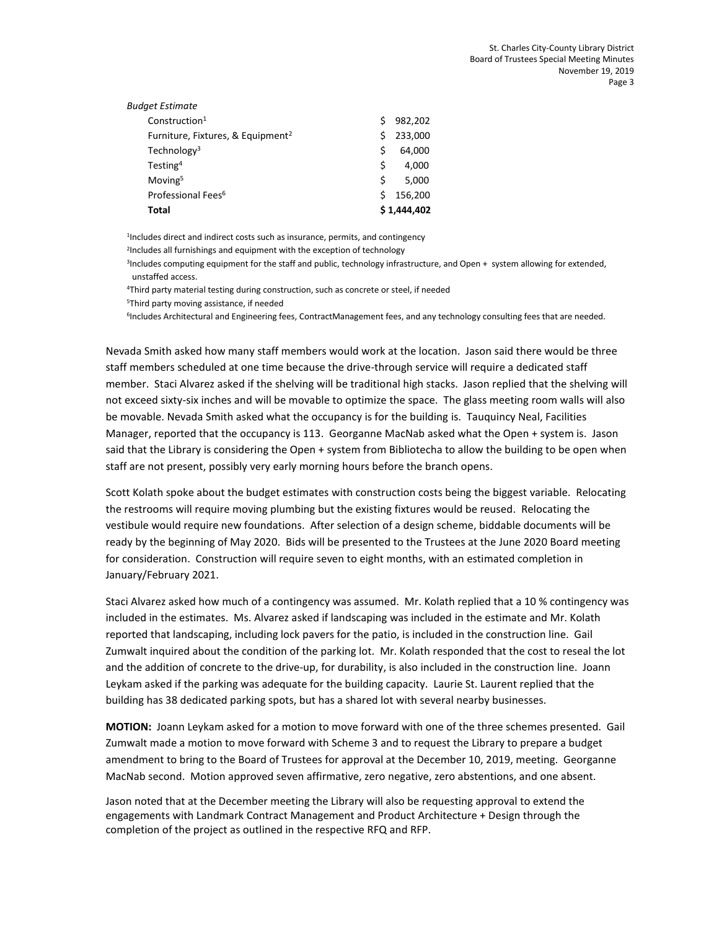| Budget Estimate                               |   |             |
|-----------------------------------------------|---|-------------|
| Construction <sup>1</sup>                     | Ś | 982,202     |
| Furniture, Fixtures, & Equipment <sup>2</sup> | Ś | 233,000     |
| Technology <sup>3</sup>                       | Ś | 64,000      |
| Testing <sup>4</sup>                          | Ś | 4.000       |
| Moving <sup>5</sup>                           | Ś | 5.000       |
| Professional Fees <sup>6</sup>                | Ś | 156,200     |
| Total                                         |   | \$1,444,402 |
|                                               |   |             |

<sup>1</sup>Includes direct and indirect costs such as insurance, permits, and contingency

<sup>2</sup>Includes all furnishings and equipment with the exception of technology

3 Includes computing equipment for the staff and public, technology infrastructure, and Open + system allowing for extended, unstaffed access.

<sup>4</sup>Third party material testing during construction, such as concrete or steel, if needed

<sup>5</sup>Third party moving assistance, if needed

<sup>6</sup>Includes Architectural and Engineering fees, ContractManagement fees, and any technology consulting fees that are needed.

Nevada Smith asked how many staff members would work at the location. Jason said there would be three staff members scheduled at one time because the drive-through service will require a dedicated staff member. Staci Alvarez asked if the shelving will be traditional high stacks. Jason replied that the shelving will not exceed sixty-six inches and will be movable to optimize the space. The glass meeting room walls will also be movable. Nevada Smith asked what the occupancy is for the building is. Tauquincy Neal, Facilities Manager, reported that the occupancy is 113. Georganne MacNab asked what the Open + system is. Jason said that the Library is considering the Open + system from Bibliotecha to allow the building to be open when staff are not present, possibly very early morning hours before the branch opens.

Scott Kolath spoke about the budget estimates with construction costs being the biggest variable. Relocating the restrooms will require moving plumbing but the existing fixtures would be reused. Relocating the vestibule would require new foundations. After selection of a design scheme, biddable documents will be ready by the beginning of May 2020. Bids will be presented to the Trustees at the June 2020 Board meeting for consideration. Construction will require seven to eight months, with an estimated completion in January/February 2021.

Staci Alvarez asked how much of a contingency was assumed. Mr. Kolath replied that a 10 % contingency was included in the estimates. Ms. Alvarez asked if landscaping was included in the estimate and Mr. Kolath reported that landscaping, including lock pavers for the patio, is included in the construction line. Gail Zumwalt inquired about the condition of the parking lot. Mr. Kolath responded that the cost to reseal the lot and the addition of concrete to the drive-up, for durability, is also included in the construction line. Joann Leykam asked if the parking was adequate for the building capacity. Laurie St. Laurent replied that the building has 38 dedicated parking spots, but has a shared lot with several nearby businesses.

**MOTION:** Joann Leykam asked for a motion to move forward with one of the three schemes presented. Gail Zumwalt made a motion to move forward with Scheme 3 and to request the Library to prepare a budget amendment to bring to the Board of Trustees for approval at the December 10, 2019, meeting. Georganne MacNab second. Motion approved seven affirmative, zero negative, zero abstentions, and one absent.

Jason noted that at the December meeting the Library will also be requesting approval to extend the engagements with Landmark Contract Management and Product Architecture + Design through the completion of the project as outlined in the respective RFQ and RFP.